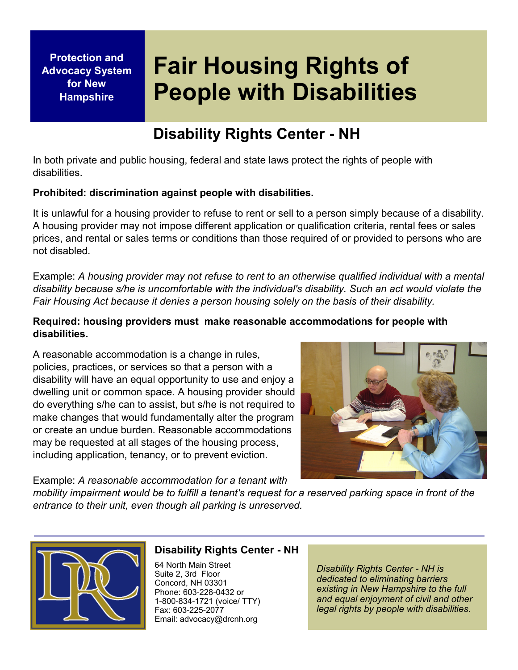**Protection and Advocacy System for New Hampshire**

## **Fair Housing Rights of People with Disabilities**

### **Disability Rights Center - NH**

In both private and public housing, federal and state laws protect the rights of people with disabilities.

#### **Prohibited: discrimination against people with disabilities.**

It is unlawful for a housing provider to refuse to rent or sell to a person simply because of a disability. A housing provider may not impose different application or qualification criteria, rental fees or sales prices, and rental or sales terms or conditions than those required of or provided to persons who are not disabled.

Example: *A housing provider may not refuse to rent to an otherwise qualified individual with a mental disability because s/he is uncomfortable with the individual's disability. Such an act would violate the Fair Housing Act because it denies a person housing solely on the basis of their disability.*

#### **Required: housing providers must make reasonable accommodations for people with disabilities.**

A reasonable accommodation is a change in rules, policies, practices, or services so that a person with a disability will have an equal opportunity to use and enjoy a dwelling unit or common space. A housing provider should do everything s/he can to assist, but s/he is not required to make changes that would fundamentally alter the program or create an undue burden. Reasonable accommodations may be requested at all stages of the housing process, including application, tenancy, or to prevent eviction.



Example: *A reasonable accommodation for a tenant with* 

*mobility impairment would be to fulfill a tenant's request for a reserved parking space in front of the entrance to their unit, even though all parking is unreserved.*



#### **Disability Rights Center - NH**

64 North Main Street Suite 2, 3rd Floor Concord, NH 03301 Phone: 603-228-0432 or 1-800-834-1721 (voice/ TTY) Fax: 603-225-2077 Email: advocacy@drcnh.org

*Disability Rights Center - NH is dedicated to eliminating barriers existing in New Hampshire to the full and equal enjoyment of civil and other legal rights by people with disabilities.*